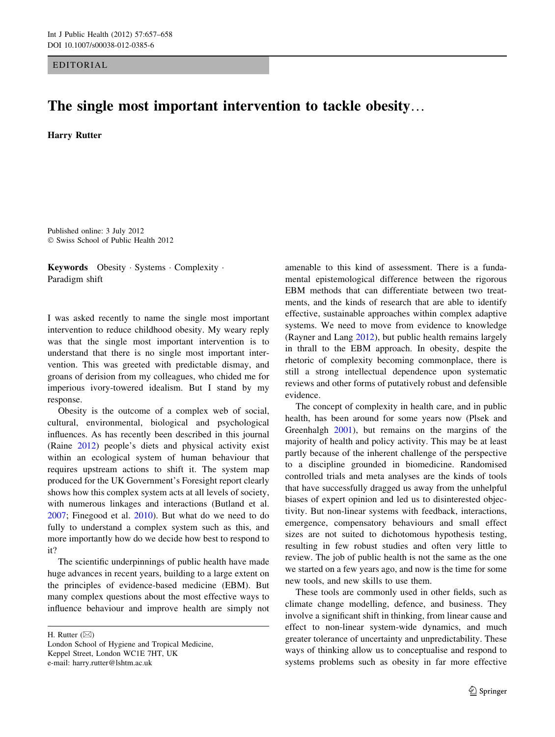EDITORIAL

## The single most important intervention to tackle obesity…

Harry Rutter

Published online: 3 July 2012 - Swiss School of Public Health 2012

Keywords Obesity · Systems · Complexity · Paradigm shift

I was asked recently to name the single most important intervention to reduce childhood obesity. My weary reply was that the single most important intervention is to understand that there is no single most important intervention. This was greeted with predictable dismay, and groans of derision from my colleagues, who chided me for imperious ivory-towered idealism. But I stand by my response.

Obesity is the outcome of a complex web of social, cultural, environmental, biological and psychological influences. As has recently been described in this journal (Raine [2012](#page-1-0)) people's diets and physical activity exist within an ecological system of human behaviour that requires upstream actions to shift it. The system map produced for the UK Government's Foresight report clearly shows how this complex system acts at all levels of society, with numerous linkages and interactions (Butland et al. [2007;](#page-1-0) Finegood et al. [2010](#page-1-0)). But what do we need to do fully to understand a complex system such as this, and more importantly how do we decide how best to respond to it?

The scientific underpinnings of public health have made huge advances in recent years, building to a large extent on the principles of evidence-based medicine (EBM). But many complex questions about the most effective ways to influence behaviour and improve health are simply not

H. Rutter  $(\boxtimes)$ 

amenable to this kind of assessment. There is a fundamental epistemological difference between the rigorous EBM methods that can differentiate between two treatments, and the kinds of research that are able to identify effective, sustainable approaches within complex adaptive systems. We need to move from evidence to knowledge (Rayner and Lang [2012](#page-1-0)), but public health remains largely in thrall to the EBM approach. In obesity, despite the rhetoric of complexity becoming commonplace, there is still a strong intellectual dependence upon systematic reviews and other forms of putatively robust and defensible evidence.

The concept of complexity in health care, and in public health, has been around for some years now (Plsek and Greenhalgh [2001\)](#page-1-0), but remains on the margins of the majority of health and policy activity. This may be at least partly because of the inherent challenge of the perspective to a discipline grounded in biomedicine. Randomised controlled trials and meta analyses are the kinds of tools that have successfully dragged us away from the unhelpful biases of expert opinion and led us to disinterested objectivity. But non-linear systems with feedback, interactions, emergence, compensatory behaviours and small effect sizes are not suited to dichotomous hypothesis testing, resulting in few robust studies and often very little to review. The job of public health is not the same as the one we started on a few years ago, and now is the time for some new tools, and new skills to use them.

These tools are commonly used in other fields, such as climate change modelling, defence, and business. They involve a significant shift in thinking, from linear cause and effect to non-linear system-wide dynamics, and much greater tolerance of uncertainty and unpredictability. These ways of thinking allow us to conceptualise and respond to systems problems such as obesity in far more effective

London School of Hygiene and Tropical Medicine, Keppel Street, London WC1E 7HT, UK e-mail: harry.rutter@lshtm.ac.uk